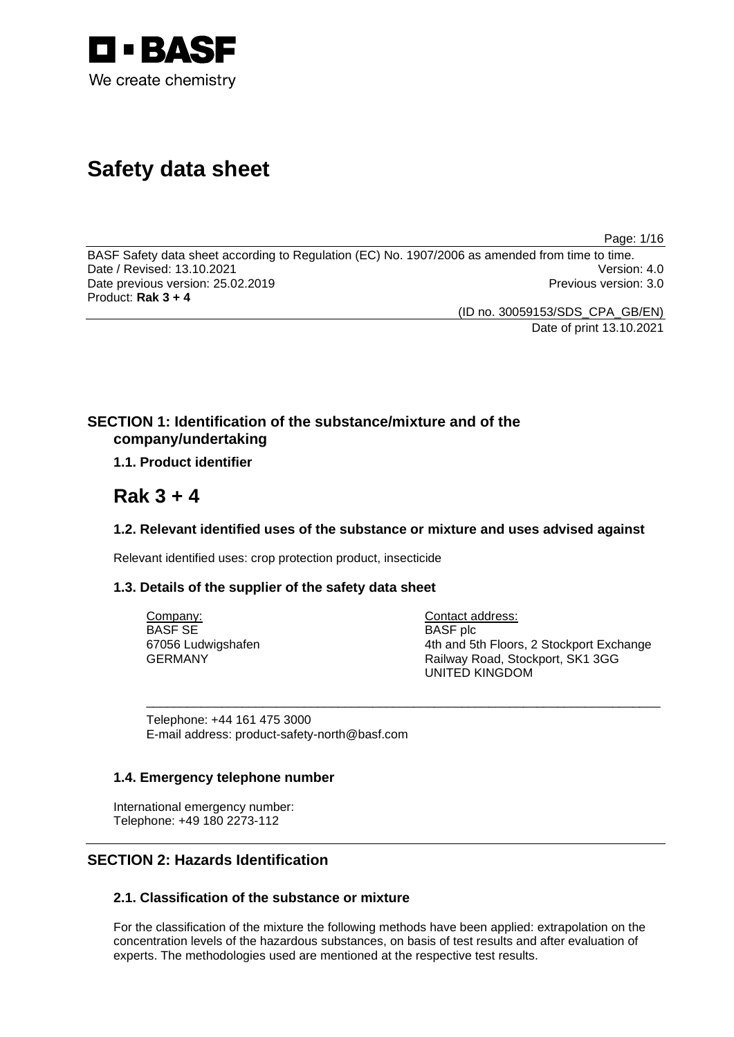

# **Safety data sheet**

Page: 1/16

BASF Safety data sheet according to Regulation (EC) No. 1907/2006 as amended from time to time. Date / Revised: 13.10.2021 Version: 4.0 Date previous version: 25.02.2019 **Previous version: 3.0** Previous version: 3.0 Product: **Rak 3 + 4** 

(ID no. 30059153/SDS\_CPA\_GB/EN)

Date of print 13.10.2021

# **SECTION 1: Identification of the substance/mixture and of the company/undertaking**

# **1.1. Product identifier**

# **Rak 3 + 4**

# **1.2. Relevant identified uses of the substance or mixture and uses advised against**

\_\_\_\_\_\_\_\_\_\_\_\_\_\_\_\_\_\_\_\_\_\_\_\_\_\_\_\_\_\_\_\_\_\_\_\_\_\_\_\_\_\_\_\_\_\_\_\_\_\_\_\_\_\_\_\_\_\_\_\_\_\_\_\_\_\_\_\_\_\_\_\_\_\_\_

Relevant identified uses: crop protection product, insecticide

# **1.3. Details of the supplier of the safety data sheet**

Company: BASF SE 67056 Ludwigshafen GERMANY

Contact address: BASF plc 4th and 5th Floors, 2 Stockport Exchange Railway Road, Stockport, SK1 3GG UNITED KINGDOM

Telephone: +44 161 475 3000 E-mail address: product-safety-north@basf.com

# **1.4. Emergency telephone number**

International emergency number: Telephone: +49 180 2273-112

# **SECTION 2: Hazards Identification**

# **2.1. Classification of the substance or mixture**

For the classification of the mixture the following methods have been applied: extrapolation on the concentration levels of the hazardous substances, on basis of test results and after evaluation of experts. The methodologies used are mentioned at the respective test results.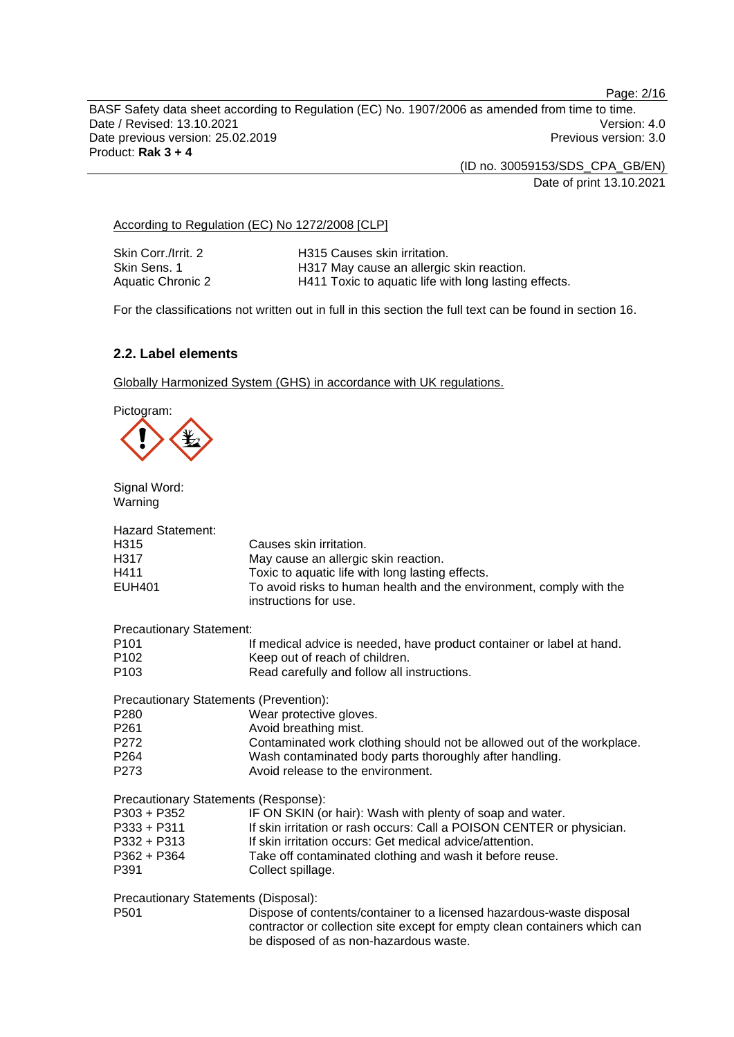Page: 2/16

BASF Safety data sheet according to Regulation (EC) No. 1907/2006 as amended from time to time. Date / Revised: 13.10.2021 **Version: 4.0** Date previous version: 25.02.2019 **Previous version: 3.0** Previous version: 3.0 Product: **Rak 3 + 4** 

> (ID no. 30059153/SDS\_CPA\_GB/EN) Date of print 13.10.2021

According to Regulation (EC) No 1272/2008 [CLP]

| Skin Corr./Irrit. 2 | H315 Causes skin irritation.                          |
|---------------------|-------------------------------------------------------|
| Skin Sens. 1        | H317 May cause an allergic skin reaction.             |
| Aquatic Chronic 2   | H411 Toxic to aquatic life with long lasting effects. |

For the classifications not written out in full in this section the full text can be found in section 16.

# **2.2. Label elements**

Globally Harmonized System (GHS) in accordance with UK regulations.

Pictogram:



Signal Word: Warning

| <b>Hazard Statement:</b><br>H315<br>H317<br>H411<br>EUH401 | Causes skin irritation.<br>May cause an allergic skin reaction.<br>Toxic to aquatic life with long lasting effects.<br>To avoid risks to human health and the environment, comply with the<br>instructions for use. |
|------------------------------------------------------------|---------------------------------------------------------------------------------------------------------------------------------------------------------------------------------------------------------------------|
| <b>Precautionary Statement:</b>                            |                                                                                                                                                                                                                     |
| P101<br>P102                                               | If medical advice is needed, have product container or label at hand.<br>Keep out of reach of children.                                                                                                             |
| P103                                                       | Read carefully and follow all instructions.                                                                                                                                                                         |
| Precautionary Statements (Prevention):                     |                                                                                                                                                                                                                     |
| P280                                                       | Wear protective gloves.                                                                                                                                                                                             |
| P261                                                       | Avoid breathing mist.                                                                                                                                                                                               |
| P272                                                       | Contaminated work clothing should not be allowed out of the workplace.                                                                                                                                              |
| P264                                                       | Wash contaminated body parts thoroughly after handling.                                                                                                                                                             |
| P273                                                       | Avoid release to the environment.                                                                                                                                                                                   |
| Precautionary Statements (Response):                       |                                                                                                                                                                                                                     |
| P303 + P352                                                | IF ON SKIN (or hair): Wash with plenty of soap and water.                                                                                                                                                           |
| P333 + P311                                                | If skin irritation or rash occurs: Call a POISON CENTER or physician.                                                                                                                                               |
| P332 + P313                                                | If skin irritation occurs: Get medical advice/attention.                                                                                                                                                            |
| P362 + P364                                                | Take off contaminated clothing and wash it before reuse.                                                                                                                                                            |
| P391                                                       | Collect spillage.                                                                                                                                                                                                   |
| Precautionary Statements (Disposal):                       |                                                                                                                                                                                                                     |
| P501                                                       | Dispose of contents/container to a licensed hazardous-waste disposal<br>contractor or collection site except for empty clean containers which can<br>be disposed of as non-hazardous waste.                         |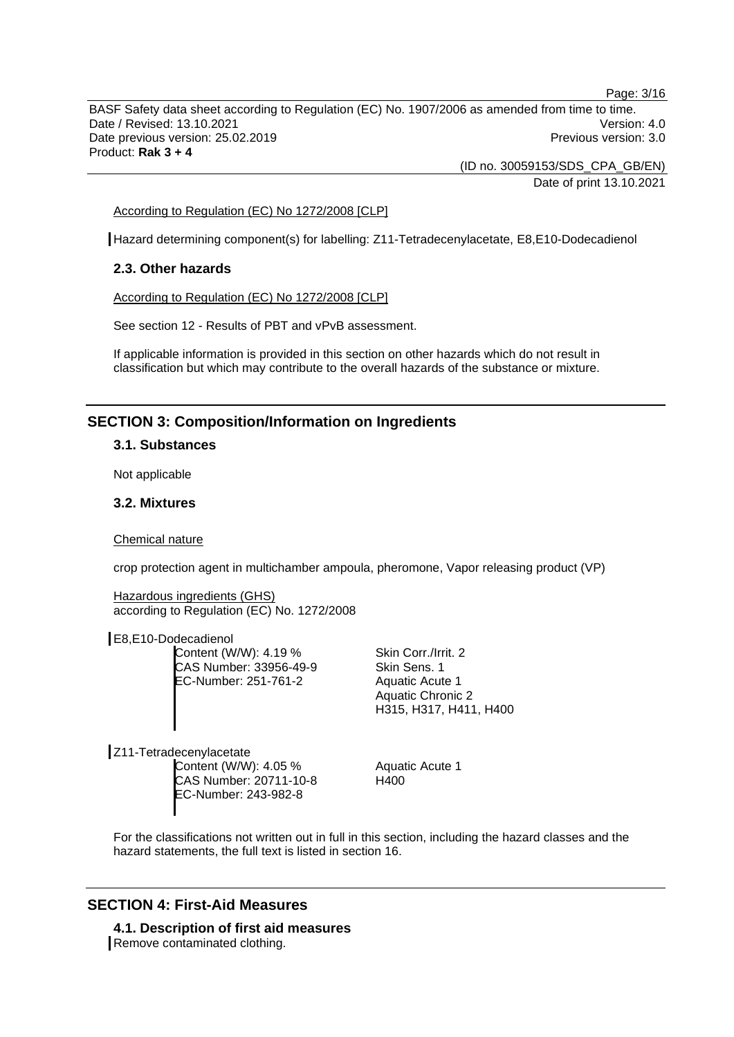Page: 3/16

BASF Safety data sheet according to Regulation (EC) No. 1907/2006 as amended from time to time. Date / Revised: 13.10.2021 **Version: 4.0** Date previous version: 25.02.2019 **Previous version: 3.0** Previous version: 3.0 Product: **Rak 3 + 4** 

> (ID no. 30059153/SDS\_CPA\_GB/EN) Date of print 13.10.2021

# According to Regulation (EC) No 1272/2008 [CLP]

Hazard determining component(s) for labelling: Z11-Tetradecenylacetate, E8,E10-Dodecadienol

# **2.3. Other hazards**

According to Regulation (EC) No 1272/2008 [CLP]

See section 12 - Results of PBT and vPvB assessment.

If applicable information is provided in this section on other hazards which do not result in classification but which may contribute to the overall hazards of the substance or mixture.

# **SECTION 3: Composition/Information on Ingredients**

### **3.1. Substances**

Not applicable

### **3.2. Mixtures**

#### Chemical nature

crop protection agent in multichamber ampoula, pheromone, Vapor releasing product (VP)

Hazardous ingredients (GHS) according to Regulation (EC) No. 1272/2008

E8,E10-Dodecadienol

Content (W/W): 4.19 % CAS Number: 33956-49-9 EC-Number: 251-761-2

Skin Corr./Irrit. 2 Skin Sens. 1 Aquatic Acute 1 Aquatic Chronic 2 H315, H317, H411, H400

Z11-Tetradecenylacetate Content (W/W): 4.05 % CAS Number: 20711-10-8 EC-Number: 243-982-8

Aquatic Acute 1 H400

For the classifications not written out in full in this section, including the hazard classes and the hazard statements, the full text is listed in section 16.

# **SECTION 4: First-Aid Measures**

**4.1. Description of first aid measures**  Remove contaminated clothing.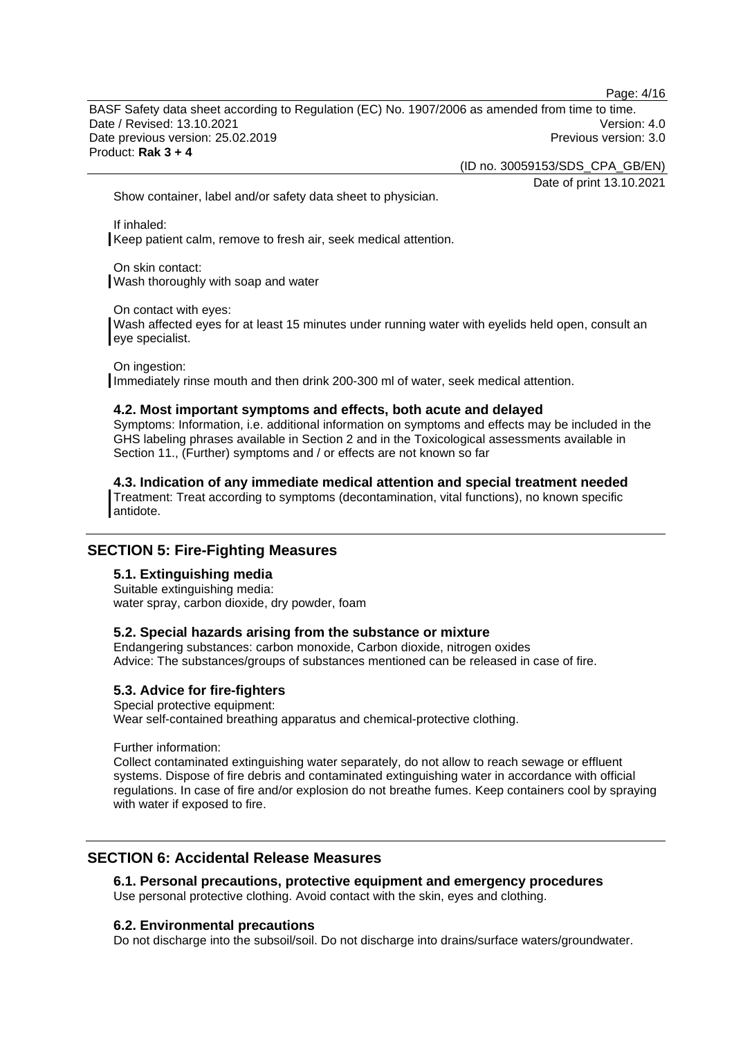Page: 4/16

BASF Safety data sheet according to Regulation (EC) No. 1907/2006 as amended from time to time. Date / Revised: 13.10.2021 Version: 4.0 Date previous version: 25.02.2019 **Previous version: 3.0** Previous version: 3.0 Product: **Rak 3 + 4** 

(ID no. 30059153/SDS\_CPA\_GB/EN)

Date of print 13.10.2021

Show container, label and/or safety data sheet to physician.

If inhaled: Keep patient calm, remove to fresh air, seek medical attention.

On skin contact: Wash thoroughly with soap and water

On contact with eyes:

Wash affected eyes for at least 15 minutes under running water with eyelids held open, consult an eye specialist.

On ingestion:

Immediately rinse mouth and then drink 200-300 ml of water, seek medical attention.

# **4.2. Most important symptoms and effects, both acute and delayed**

Symptoms: Information, i.e. additional information on symptoms and effects may be included in the GHS labeling phrases available in Section 2 and in the Toxicological assessments available in Section 11., (Further) symptoms and / or effects are not known so far

**4.3. Indication of any immediate medical attention and special treatment needed**  Treatment: Treat according to symptoms (decontamination, vital functions), no known specific antidote.

# **SECTION 5: Fire-Fighting Measures**

# **5.1. Extinguishing media**

Suitable extinguishing media: water spray, carbon dioxide, dry powder, foam

### **5.2. Special hazards arising from the substance or mixture**

Endangering substances: carbon monoxide, Carbon dioxide, nitrogen oxides Advice: The substances/groups of substances mentioned can be released in case of fire.

### **5.3. Advice for fire-fighters**

Special protective equipment:

Wear self-contained breathing apparatus and chemical-protective clothing.

Further information:

Collect contaminated extinguishing water separately, do not allow to reach sewage or effluent systems. Dispose of fire debris and contaminated extinguishing water in accordance with official regulations. In case of fire and/or explosion do not breathe fumes. Keep containers cool by spraying with water if exposed to fire.

# **SECTION 6: Accidental Release Measures**

**6.1. Personal precautions, protective equipment and emergency procedures**  Use personal protective clothing. Avoid contact with the skin, eyes and clothing.

### **6.2. Environmental precautions**

Do not discharge into the subsoil/soil. Do not discharge into drains/surface waters/groundwater.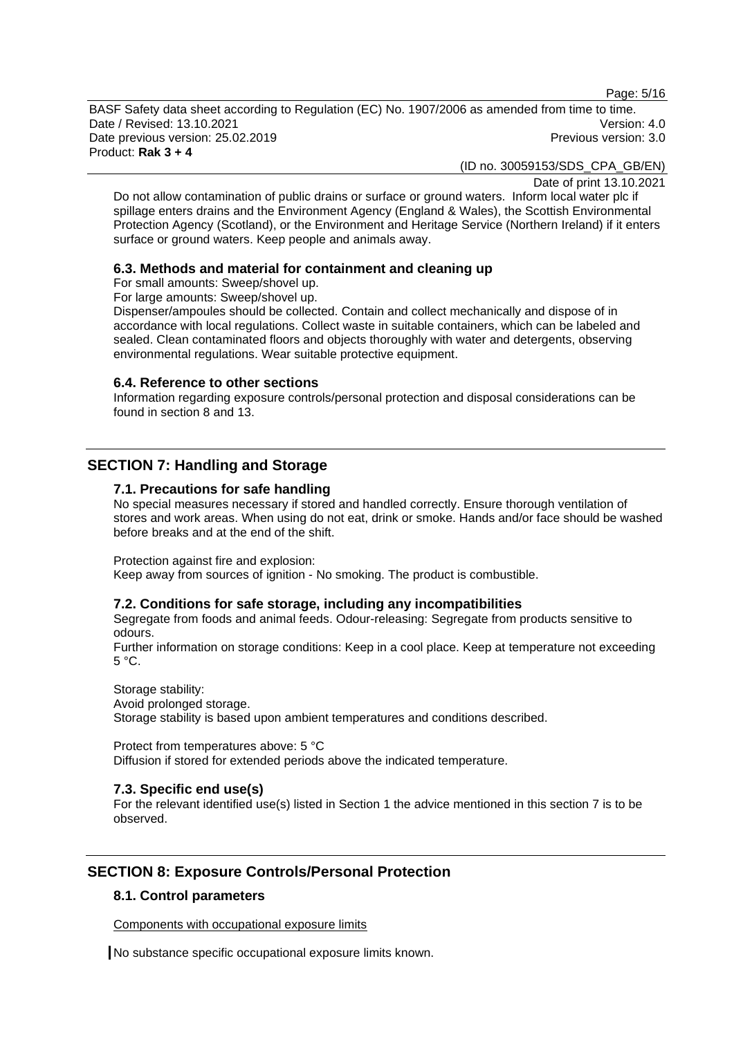Page: 5/16

BASF Safety data sheet according to Regulation (EC) No. 1907/2006 as amended from time to time. Date / Revised: 13.10.2021 Version: 4.0 Date previous version: 25.02.2019 **Previous version: 3.0** Previous version: 3.0 Product: **Rak 3 + 4** 

(ID no. 30059153/SDS\_CPA\_GB/EN)

Date of print 13.10.2021

Do not allow contamination of public drains or surface or ground waters. Inform local water plc if spillage enters drains and the Environment Agency (England & Wales), the Scottish Environmental Protection Agency (Scotland), or the Environment and Heritage Service (Northern Ireland) if it enters surface or ground waters. Keep people and animals away.

# **6.3. Methods and material for containment and cleaning up**

For small amounts: Sweep/shovel up.

For large amounts: Sweep/shovel up.

Dispenser/ampoules should be collected. Contain and collect mechanically and dispose of in accordance with local regulations. Collect waste in suitable containers, which can be labeled and sealed. Clean contaminated floors and objects thoroughly with water and detergents, observing environmental regulations. Wear suitable protective equipment.

### **6.4. Reference to other sections**

Information regarding exposure controls/personal protection and disposal considerations can be found in section 8 and 13.

# **SECTION 7: Handling and Storage**

# **7.1. Precautions for safe handling**

No special measures necessary if stored and handled correctly. Ensure thorough ventilation of stores and work areas. When using do not eat, drink or smoke. Hands and/or face should be washed before breaks and at the end of the shift.

Protection against fire and explosion:

Keep away from sources of ignition - No smoking. The product is combustible.

### **7.2. Conditions for safe storage, including any incompatibilities**

Segregate from foods and animal feeds. Odour-releasing: Segregate from products sensitive to odours.

Further information on storage conditions: Keep in a cool place. Keep at temperature not exceeding 5 °C.

Storage stability: Avoid prolonged storage. Storage stability is based upon ambient temperatures and conditions described.

Protect from temperatures above: 5 °C Diffusion if stored for extended periods above the indicated temperature.

# **7.3. Specific end use(s)**

For the relevant identified use(s) listed in Section 1 the advice mentioned in this section 7 is to be observed.

# **SECTION 8: Exposure Controls/Personal Protection**

# **8.1. Control parameters**

Components with occupational exposure limits

No substance specific occupational exposure limits known.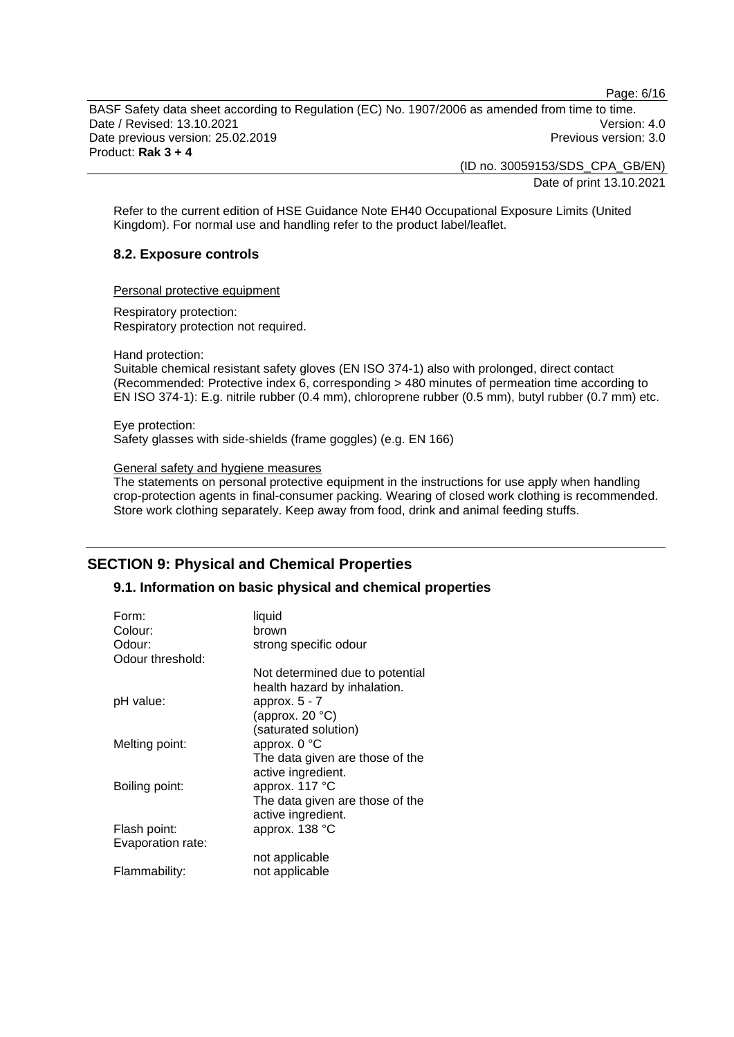Page: 6/16

BASF Safety data sheet according to Regulation (EC) No. 1907/2006 as amended from time to time. Date / Revised: 13.10.2021 Version: 4.0 Date previous version: 25.02.2019 **Previous version: 3.0** Previous version: 3.0 Product: **Rak 3 + 4** 

> (ID no. 30059153/SDS\_CPA\_GB/EN) Date of print 13.10.2021

Refer to the current edition of HSE Guidance Note EH40 Occupational Exposure Limits (United Kingdom). For normal use and handling refer to the product label/leaflet.

# **8.2. Exposure controls**

Personal protective equipment

Respiratory protection: Respiratory protection not required.

Hand protection:

Suitable chemical resistant safety gloves (EN ISO 374-1) also with prolonged, direct contact (Recommended: Protective index 6, corresponding > 480 minutes of permeation time according to EN ISO 374-1): E.g. nitrile rubber (0.4 mm), chloroprene rubber (0.5 mm), butyl rubber (0.7 mm) etc.

Eye protection: Safety glasses with side-shields (frame goggles) (e.g. EN 166)

General safety and hygiene measures

The statements on personal protective equipment in the instructions for use apply when handling crop-protection agents in final-consumer packing. Wearing of closed work clothing is recommended. Store work clothing separately. Keep away from food, drink and animal feeding stuffs.

# **SECTION 9: Physical and Chemical Properties**

# **9.1. Information on basic physical and chemical properties**

| Form:<br>Colour:<br>Odour: | liquid<br>brown<br>strong specific odour                        |
|----------------------------|-----------------------------------------------------------------|
| Odour threshold:           |                                                                 |
|                            | Not determined due to potential<br>health hazard by inhalation. |
| pH value:                  | approx. $5 - 7$                                                 |
|                            | (approx. $20 °C$ )                                              |
|                            | (saturated solution)                                            |
| Melting point:             | approx. $0^{\circ}$ C                                           |
|                            | The data given are those of the                                 |
|                            | active ingredient.                                              |
| Boiling point:             | approx. 117 °C                                                  |
|                            | The data given are those of the                                 |
|                            | active ingredient.                                              |
| Flash point:               | approx. 138 °C                                                  |
| Evaporation rate:          |                                                                 |
|                            | not applicable                                                  |
| Flammability:              | not applicable                                                  |
|                            |                                                                 |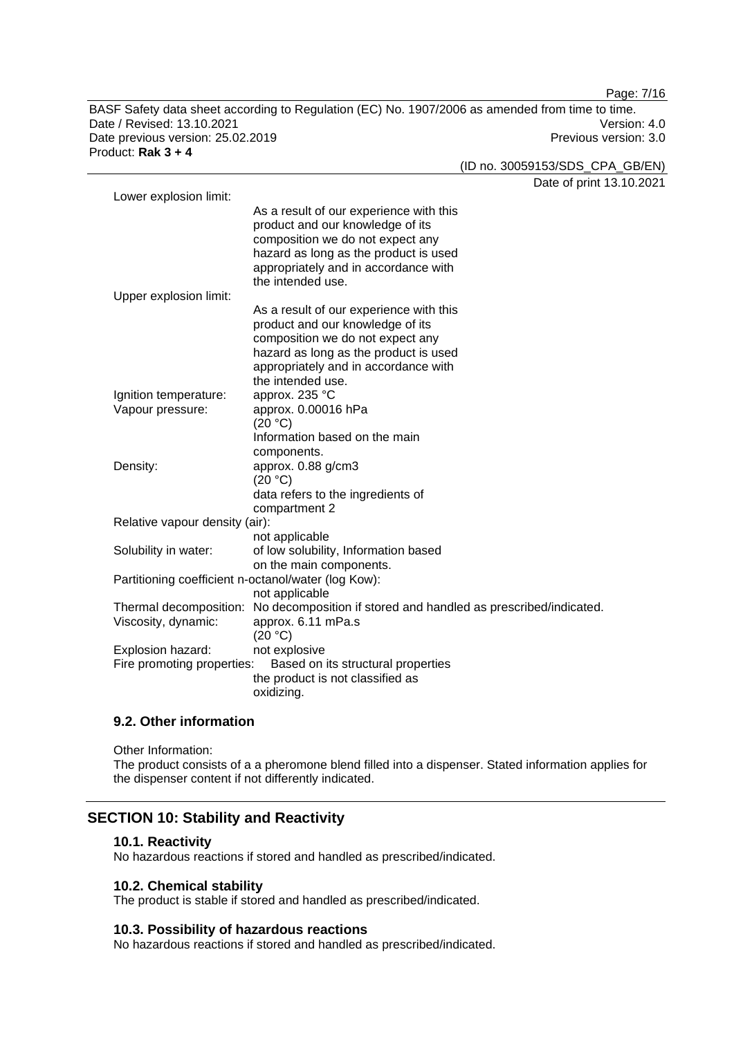BASF Safety data sheet according to Regulation (EC) No. 1907/2006 as amended from time to time. Date / Revised: 13.10.2021 Version: 4.0 Date previous version: 25.02.2019 **Previous version: 3.0** Previous version: 3.0 Product: **Rak 3 + 4** 

Date of print 13.10.2021 Lower explosion limit: As a result of our experience with this product and our knowledge of its composition we do not expect any hazard as long as the product is used appropriately and in accordance with the intended use. Upper explosion limit: As a result of our experience with this product and our knowledge of its composition we do not expect any hazard as long as the product is used appropriately and in accordance with the intended use. Ignition temperature: approx. 235 °C Vapour pressure: approx. 0.00016 hPa  $(20 °C)$ Information based on the main components. Density: approx. 0.88 g/cm3 (20 °C) data refers to the ingredients of compartment 2 Relative vapour density (air): not applicable Solubility in water: of low solubility, Information based on the main components. Partitioning coefficient n-octanol/water (log Kow): not applicable Thermal decomposition: No decomposition if stored and handled as prescribed/indicated. Viscosity, dynamic: approx. 6.11 mPa.s (20 °C) Explosion hazard: not explosive Fire promoting properties: Based on its structural properties the product is not classified as oxidizing.

# **9.2. Other information**

Other Information: The product consists of a a pheromone blend filled into a dispenser. Stated information applies for the dispenser content if not differently indicated.

### **SECTION 10: Stability and Reactivity**

#### **10.1. Reactivity**

No hazardous reactions if stored and handled as prescribed/indicated.

#### **10.2. Chemical stability**

The product is stable if stored and handled as prescribed/indicated.

#### **10.3. Possibility of hazardous reactions**

No hazardous reactions if stored and handled as prescribed/indicated.

Page: 7/16

(ID no. 30059153/SDS\_CPA\_GB/EN)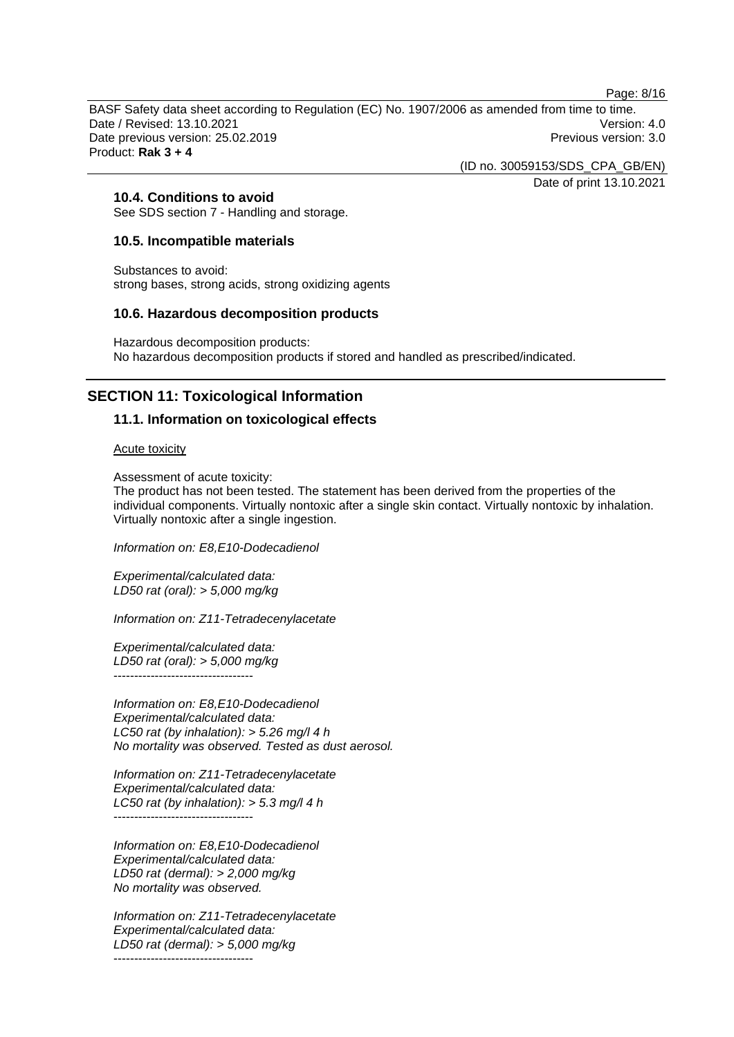Page: 8/16

BASF Safety data sheet according to Regulation (EC) No. 1907/2006 as amended from time to time. Date / Revised: 13.10.2021 Version: 4.0 Date previous version: 25.02.2019 **Previous version: 3.0** Previous version: 3.0 Product: **Rak 3 + 4** 

> (ID no. 30059153/SDS\_CPA\_GB/EN) Date of print 13.10.2021

**10.4. Conditions to avoid** 

See SDS section 7 - Handling and storage.

# **10.5. Incompatible materials**

Substances to avoid: strong bases, strong acids, strong oxidizing agents

# **10.6. Hazardous decomposition products**

Hazardous decomposition products: No hazardous decomposition products if stored and handled as prescribed/indicated.

# **SECTION 11: Toxicological Information**

# **11.1. Information on toxicological effects**

Acute toxicity

Assessment of acute toxicity:

The product has not been tested. The statement has been derived from the properties of the individual components. Virtually nontoxic after a single skin contact. Virtually nontoxic by inhalation. Virtually nontoxic after a single ingestion.

*Information on: E8,E10-Dodecadienol*

*Experimental/calculated data: LD50 rat (oral): > 5,000 mg/kg* 

*Information on: Z11-Tetradecenylacetate*

*Experimental/calculated data: LD50 rat (oral): > 5,000 mg/kg*  ----------------------------------

*Information on: E8,E10-Dodecadienol Experimental/calculated data: LC50 rat (by inhalation): > 5.26 mg/l 4 h No mortality was observed. Tested as dust aerosol.* 

*Information on: Z11-Tetradecenylacetate Experimental/calculated data: LC50 rat (by inhalation): > 5.3 mg/l 4 h*  -----------------------------------

*Information on: E8,E10-Dodecadienol Experimental/calculated data: LD50 rat (dermal): > 2,000 mg/kg No mortality was observed.* 

*Information on: Z11-Tetradecenylacetate Experimental/calculated data: LD50 rat (dermal): > 5,000 mg/kg*  ----------------------------------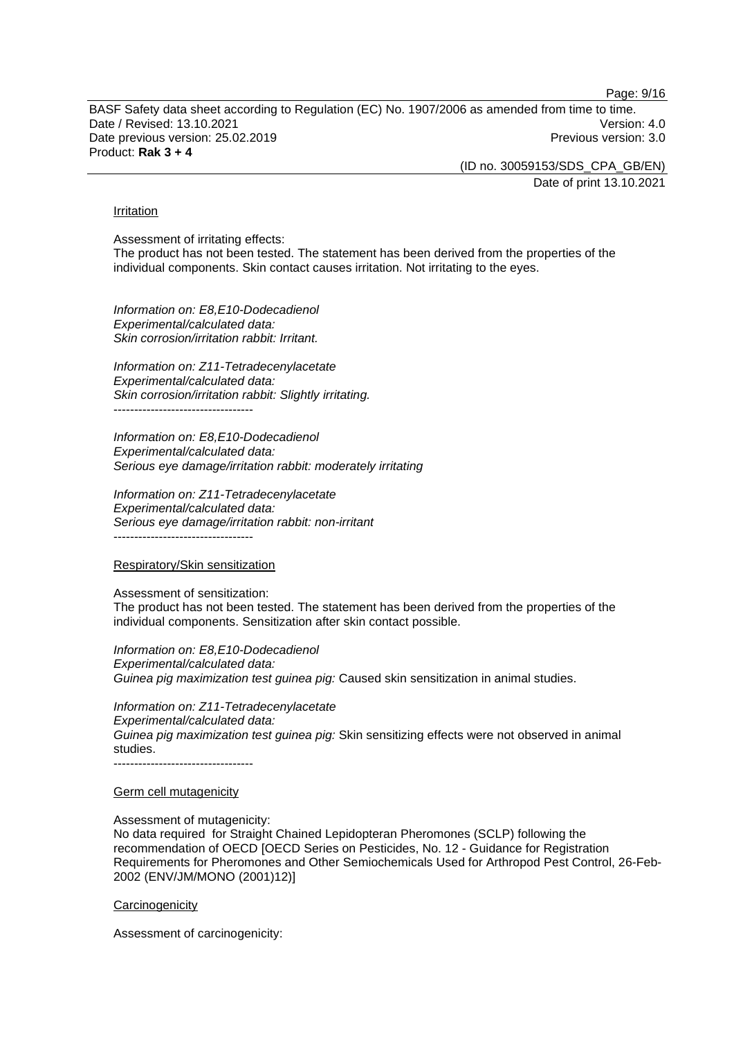Page: 9/16

BASF Safety data sheet according to Regulation (EC) No. 1907/2006 as amended from time to time. Date / Revised: 13.10.2021 **Version: 4.0** Date previous version: 25.02.2019 **Previous version: 3.0** Previous version: 3.0 Product: **Rak 3 + 4** 

(ID no. 30059153/SDS\_CPA\_GB/EN)

Date of print 13.10.2021

#### Irritation

Assessment of irritating effects: The product has not been tested. The statement has been derived from the properties of the individual components. Skin contact causes irritation. Not irritating to the eyes.

*Information on: E8,E10-Dodecadienol Experimental/calculated data: Skin corrosion/irritation rabbit: Irritant.* 

*Information on: Z11-Tetradecenylacetate Experimental/calculated data: Skin corrosion/irritation rabbit: Slightly irritating.*  ----------------------------------

*Information on: E8,E10-Dodecadienol Experimental/calculated data: Serious eye damage/irritation rabbit: moderately irritating* 

*Information on: Z11-Tetradecenylacetate Experimental/calculated data: Serious eye damage/irritation rabbit: non-irritant*  ----------------------------------

#### Respiratory/Skin sensitization

Assessment of sensitization: The product has not been tested. The statement has been derived from the properties of the individual components. Sensitization after skin contact possible.

*Information on: E8,E10-Dodecadienol Experimental/calculated data: Guinea pig maximization test guinea pig:* Caused skin sensitization in animal studies.

*Information on: Z11-Tetradecenylacetate Experimental/calculated data: Guinea pig maximization test guinea pig:* Skin sensitizing effects were not observed in animal studies. ----------------------------------

#### Germ cell mutagenicity

Assessment of mutagenicity: No data required for Straight Chained Lepidopteran Pheromones (SCLP) following the recommendation of OECD [OECD Series on Pesticides, No. 12 - Guidance for Registration Requirements for Pheromones and Other Semiochemicals Used for Arthropod Pest Control, 26-Feb-2002 (ENV/JM/MONO (2001)12)]

#### **Carcinogenicity**

Assessment of carcinogenicity: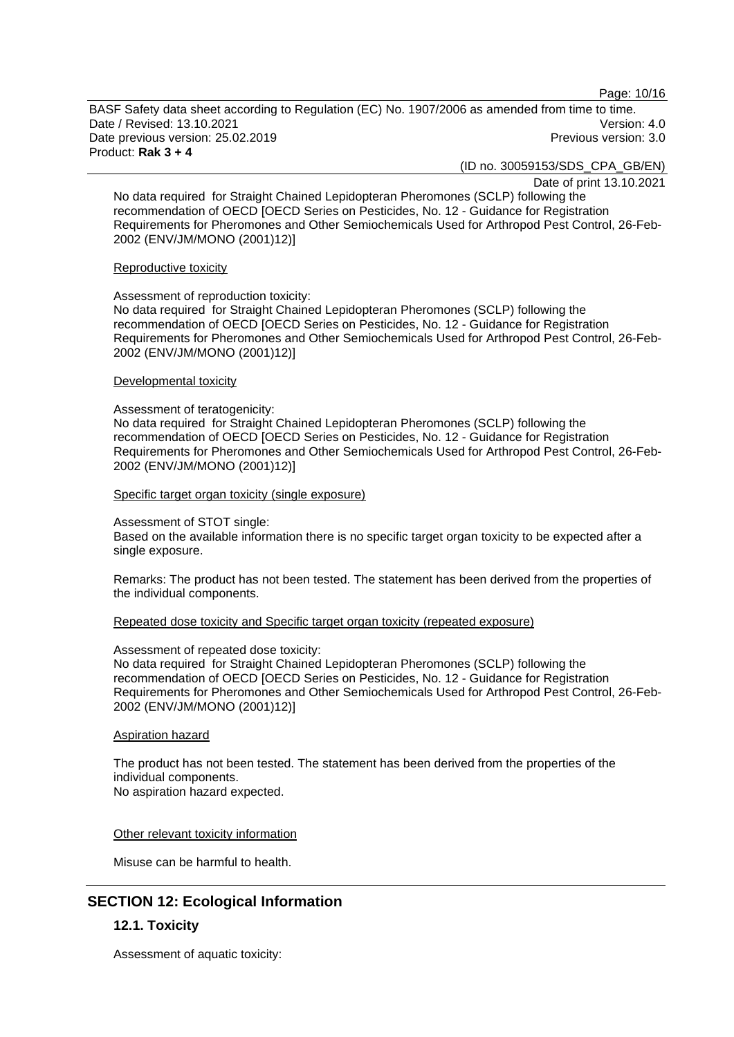Page: 10/16

BASF Safety data sheet according to Regulation (EC) No. 1907/2006 as amended from time to time. Date / Revised: 13.10.2021 **Version: 4.0** Date previous version: 25.02.2019 **Previous version: 3.0** Previous version: 3.0 Product: **Rak 3 + 4** 

(ID no. 30059153/SDS\_CPA\_GB/EN)

Date of print 13.10.2021

No data required for Straight Chained Lepidopteran Pheromones (SCLP) following the recommendation of OECD [OECD Series on Pesticides, No. 12 - Guidance for Registration Requirements for Pheromones and Other Semiochemicals Used for Arthropod Pest Control, 26-Feb-2002 (ENV/JM/MONO (2001)12)]

### Reproductive toxicity

Assessment of reproduction toxicity: No data required for Straight Chained Lepidopteran Pheromones (SCLP) following the recommendation of OECD [OECD Series on Pesticides, No. 12 - Guidance for Registration Requirements for Pheromones and Other Semiochemicals Used for Arthropod Pest Control, 26-Feb-2002 (ENV/JM/MONO (2001)12)]

# Developmental toxicity

# Assessment of teratogenicity:

No data required for Straight Chained Lepidopteran Pheromones (SCLP) following the recommendation of OECD [OECD Series on Pesticides, No. 12 - Guidance for Registration Requirements for Pheromones and Other Semiochemicals Used for Arthropod Pest Control, 26-Feb-2002 (ENV/JM/MONO (2001)12)]

Specific target organ toxicity (single exposure)

### Assessment of STOT single:

Based on the available information there is no specific target organ toxicity to be expected after a single exposure.

Remarks: The product has not been tested. The statement has been derived from the properties of the individual components.

# Repeated dose toxicity and Specific target organ toxicity (repeated exposure)

# Assessment of repeated dose toxicity:

No data required for Straight Chained Lepidopteran Pheromones (SCLP) following the recommendation of OECD [OECD Series on Pesticides, No. 12 - Guidance for Registration Requirements for Pheromones and Other Semiochemicals Used for Arthropod Pest Control, 26-Feb-2002 (ENV/JM/MONO (2001)12)]

### Aspiration hazard

The product has not been tested. The statement has been derived from the properties of the individual components. No aspiration hazard expected.

# Other relevant toxicity information

Misuse can be harmful to health.

# **SECTION 12: Ecological Information**

# **12.1. Toxicity**

Assessment of aquatic toxicity: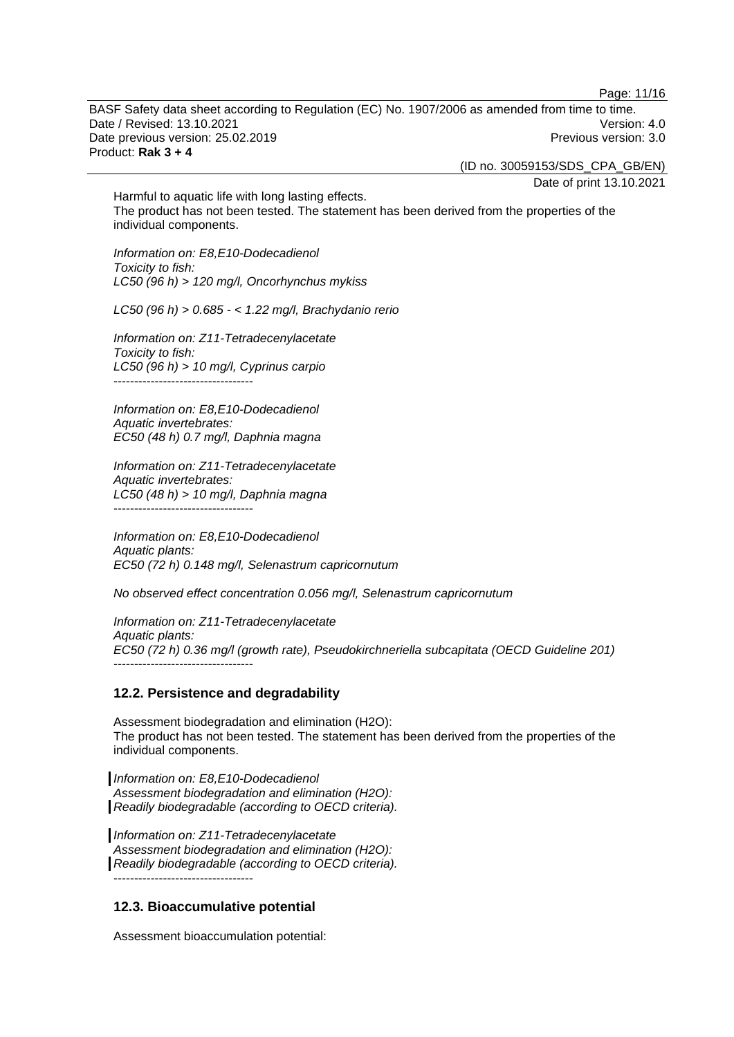Page: 11/16

BASF Safety data sheet according to Regulation (EC) No. 1907/2006 as amended from time to time. Date / Revised: 13.10.2021 **Version: 4.0** Date previous version: 25.02.2019 **Previous version: 3.0** Previous version: 3.0 Product: **Rak 3 + 4** 

(ID no. 30059153/SDS\_CPA\_GB/EN)

Date of print 13.10.2021

Harmful to aquatic life with long lasting effects. The product has not been tested. The statement has been derived from the properties of the individual components.

*Information on: E8,E10-Dodecadienol Toxicity to fish: LC50 (96 h) > 120 mg/l, Oncorhynchus mykiss* 

*LC50 (96 h) > 0.685 - < 1.22 mg/l, Brachydanio rerio* 

*Information on: Z11-Tetradecenylacetate Toxicity to fish: LC50 (96 h) > 10 mg/l, Cyprinus carpio*  ----------------------------------

*Information on: E8,E10-Dodecadienol Aquatic invertebrates: EC50 (48 h) 0.7 mg/l, Daphnia magna* 

*Information on: Z11-Tetradecenylacetate Aquatic invertebrates: LC50 (48 h) > 10 mg/l, Daphnia magna*  ----------------------------------

*Information on: E8,E10-Dodecadienol Aquatic plants: EC50 (72 h) 0.148 mg/l, Selenastrum capricornutum* 

*No observed effect concentration 0.056 mg/l, Selenastrum capricornutum* 

*Information on: Z11-Tetradecenylacetate Aquatic plants: EC50 (72 h) 0.36 mg/l (growth rate), Pseudokirchneriella subcapitata (OECD Guideline 201)*  ----------------------------------

### **12.2. Persistence and degradability**

Assessment biodegradation and elimination (H2O): The product has not been tested. The statement has been derived from the properties of the individual components.

*Information on: E8,E10-Dodecadienol Assessment biodegradation and elimination (H2O): Readily biodegradable (according to OECD criteria).* 

*Information on: Z11-Tetradecenylacetate Assessment biodegradation and elimination (H2O): Readily biodegradable (according to OECD criteria).*   $-$ 

# **12.3. Bioaccumulative potential**

Assessment bioaccumulation potential: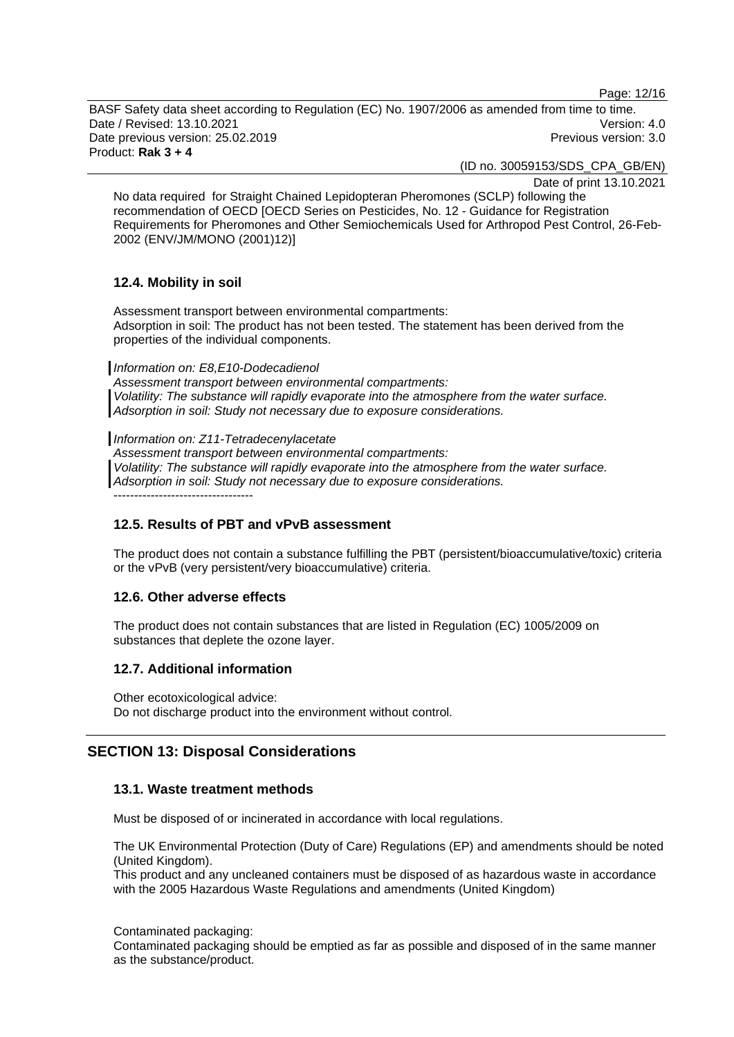Page: 12/16

BASF Safety data sheet according to Regulation (EC) No. 1907/2006 as amended from time to time. Date / Revised: 13.10.2021 Version: 4.0 Date previous version: 25.02.2019 **Previous version: 3.0** Previous version: 3.0 Product: **Rak 3 + 4** 

(ID no. 30059153/SDS\_CPA\_GB/EN)

Date of print 13.10.2021

No data required for Straight Chained Lepidopteran Pheromones (SCLP) following the recommendation of OECD [OECD Series on Pesticides, No. 12 - Guidance for Registration Requirements for Pheromones and Other Semiochemicals Used for Arthropod Pest Control, 26-Feb-2002 (ENV/JM/MONO (2001)12)]

# **12.4. Mobility in soil**

Assessment transport between environmental compartments: Adsorption in soil: The product has not been tested. The statement has been derived from the properties of the individual components.

*Information on: E8,E10-Dodecadienol* 

*Assessment transport between environmental compartments: Volatility: The substance will rapidly evaporate into the atmosphere from the water surface. Adsorption in soil: Study not necessary due to exposure considerations.* 

*Information on: Z11-Tetradecenylacetate Assessment transport between environmental compartments: Volatility: The substance will rapidly evaporate into the atmosphere from the water surface. Adsorption in soil: Study not necessary due to exposure considerations.*  -----------------------------------

# **12.5. Results of PBT and vPvB assessment**

The product does not contain a substance fulfilling the PBT (persistent/bioaccumulative/toxic) criteria or the vPvB (very persistent/very bioaccumulative) criteria.

# **12.6. Other adverse effects**

The product does not contain substances that are listed in Regulation (EC) 1005/2009 on substances that deplete the ozone layer.

# **12.7. Additional information**

Other ecotoxicological advice: Do not discharge product into the environment without control.

# **SECTION 13: Disposal Considerations**

# **13.1. Waste treatment methods**

Must be disposed of or incinerated in accordance with local regulations.

The UK Environmental Protection (Duty of Care) Regulations (EP) and amendments should be noted (United Kingdom).

This product and any uncleaned containers must be disposed of as hazardous waste in accordance with the 2005 Hazardous Waste Regulations and amendments (United Kingdom)

Contaminated packaging:

Contaminated packaging should be emptied as far as possible and disposed of in the same manner as the substance/product.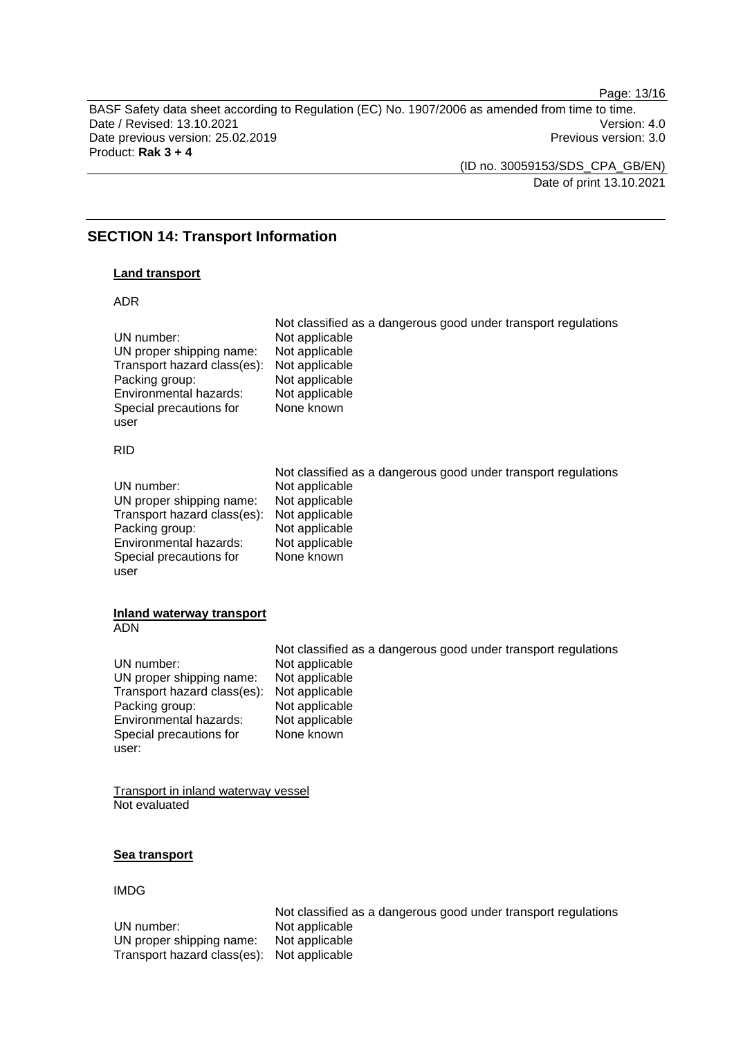Page: 13/16

BASF Safety data sheet according to Regulation (EC) No. 1907/2006 as amended from time to time. Date / Revised: 13.10.2021 Version: 4.0 Date previous version: 25.02.2019 **Previous version: 3.0** Previous version: 3.0 Product: **Rak 3 + 4** 

> (ID no. 30059153/SDS\_CPA\_GB/EN) Date of print 13.10.2021

# **SECTION 14: Transport Information**

# **Land transport**

#### ADR

| UN number:<br>UN proper shipping name:<br>Transport hazard class(es):<br>Packing group:<br>Environmental hazards:<br>Special precautions for<br>user  | Not classified as a dangerous good under transport regulations<br>Not applicable<br>Not applicable<br>Not applicable<br>Not applicable<br>Not applicable<br>None known |
|-------------------------------------------------------------------------------------------------------------------------------------------------------|------------------------------------------------------------------------------------------------------------------------------------------------------------------------|
| <b>RID</b>                                                                                                                                            |                                                                                                                                                                        |
| UN number:<br>UN proper shipping name:<br>Transport hazard class(es):<br>Packing group:<br>Environmental hazards:<br>Special precautions for<br>user  | Not classified as a dangerous good under transport regulations<br>Not applicable<br>Not applicable<br>Not applicable<br>Not applicable<br>Not applicable<br>None known |
| <b>Inland waterway transport</b><br><b>ADN</b>                                                                                                        |                                                                                                                                                                        |
| UN number:<br>UN proper shipping name:<br>Transport hazard class(es):<br>Packing group:<br>Environmental hazards:<br>Special precautions for<br>user: | Not classified as a dangerous good under transport regulations<br>Not applicable<br>Not applicable<br>Not applicable<br>Not applicable<br>Not applicable<br>None known |
| <b>Transport in inland waterway vessel</b><br>Not evaluated                                                                                           |                                                                                                                                                                        |
| Sea transport                                                                                                                                         |                                                                                                                                                                        |

IMDG

Not classified as a dangerous good under transport regulations UN number: Not applicable<br>UN proper shipping name: Not applicable UN proper shipping name: Transport hazard class(es): Not applicable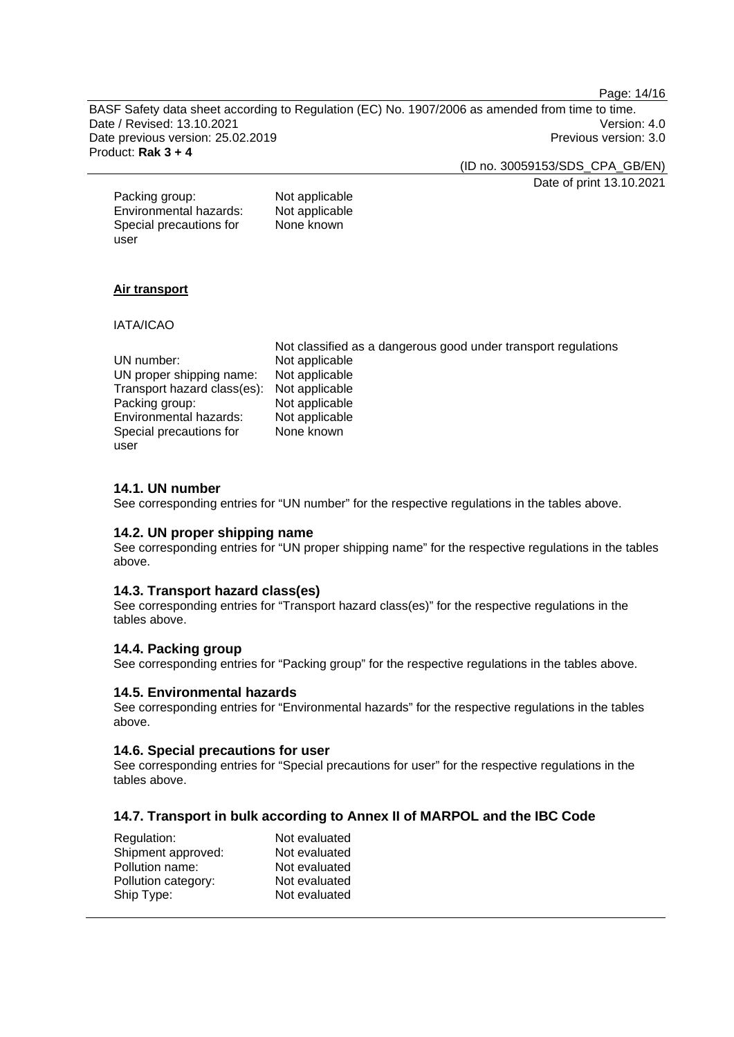Page: 14/16

BASF Safety data sheet according to Regulation (EC) No. 1907/2006 as amended from time to time. Date / Revised: 13.10.2021 Version: 4.0 Date previous version: 25.02.2019 **Previous version: 3.0** Previous version: 3.0 Product: **Rak 3 + 4** 

(ID no. 30059153/SDS\_CPA\_GB/EN)

Date of print 13.10.2021

| Packing group:          | Not applicable |
|-------------------------|----------------|
| Environmental hazards:  | Not applicable |
| Special precautions for | None known     |
| user                    |                |

# **Air transport**

### IATA/ICAO

|                                            | Not classified as a dangerous good under transport regulations |
|--------------------------------------------|----------------------------------------------------------------|
| UN number:                                 | Not applicable                                                 |
| UN proper shipping name:                   | Not applicable                                                 |
| Transport hazard class(es): Not applicable |                                                                |
| Packing group:                             | Not applicable                                                 |
| Environmental hazards:                     | Not applicable                                                 |
| Special precautions for                    | None known                                                     |
| user                                       |                                                                |

### **14.1. UN number**

See corresponding entries for "UN number" for the respective regulations in the tables above.

### **14.2. UN proper shipping name**

See corresponding entries for "UN proper shipping name" for the respective regulations in the tables above.

### **14.3. Transport hazard class(es)**

See corresponding entries for "Transport hazard class(es)" for the respective regulations in the tables above.

### **14.4. Packing group**

See corresponding entries for "Packing group" for the respective regulations in the tables above.

# **14.5. Environmental hazards**

See corresponding entries for "Environmental hazards" for the respective regulations in the tables above.

# **14.6. Special precautions for user**

See corresponding entries for "Special precautions for user" for the respective regulations in the tables above.

# **14.7. Transport in bulk according to Annex II of MARPOL and the IBC Code**

| Regulation:         | Not evaluated |
|---------------------|---------------|
| Shipment approved:  | Not evaluated |
| Pollution name:     | Not evaluated |
| Pollution category: | Not evaluated |
| Ship Type:          | Not evaluated |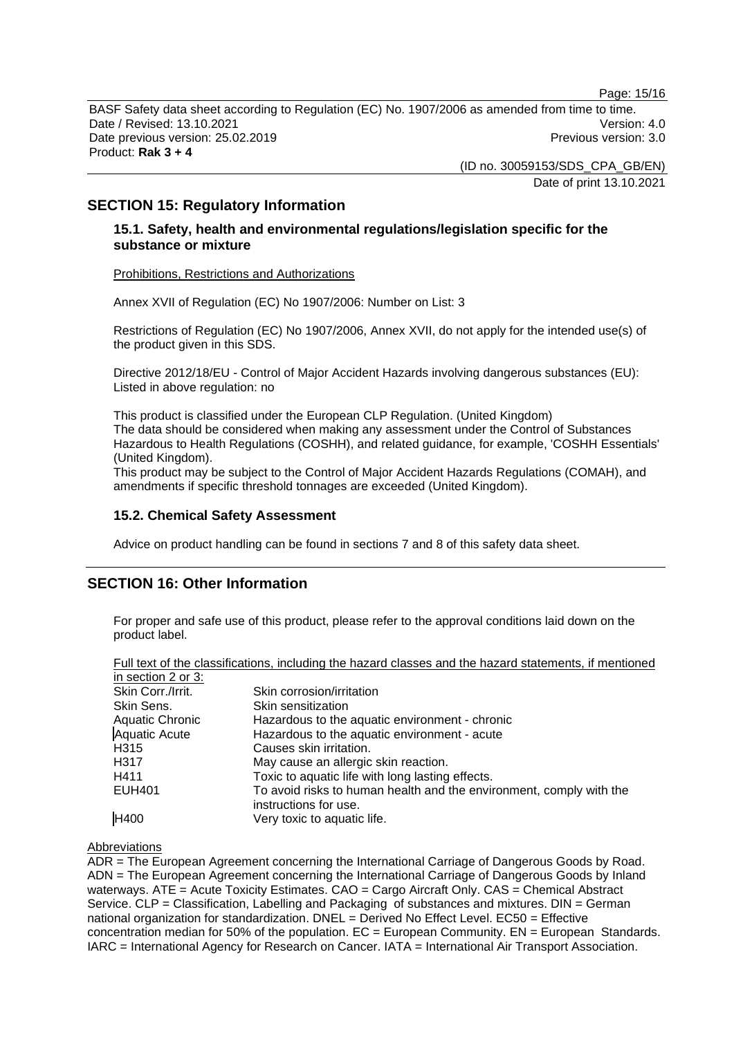Page: 15/16

BASF Safety data sheet according to Regulation (EC) No. 1907/2006 as amended from time to time. Date / Revised: 13.10.2021 **Version: 4.0** Date previous version: 25.02.2019 **Previous version: 3.0** Previous version: 3.0 Product: **Rak 3 + 4** 

> (ID no. 30059153/SDS\_CPA\_GB/EN) Date of print 13.10.2021

# **SECTION 15: Regulatory Information**

# **15.1. Safety, health and environmental regulations/legislation specific for the substance or mixture**

Prohibitions, Restrictions and Authorizations

Annex XVII of Regulation (EC) No 1907/2006: Number on List: 3

Restrictions of Regulation (EC) No 1907/2006, Annex XVII, do not apply for the intended use(s) of the product given in this SDS.

Directive 2012/18/EU - Control of Major Accident Hazards involving dangerous substances (EU): Listed in above regulation: no

This product is classified under the European CLP Regulation. (United Kingdom) The data should be considered when making any assessment under the Control of Substances Hazardous to Health Regulations (COSHH), and related guidance, for example, 'COSHH Essentials' (United Kingdom).

This product may be subject to the Control of Major Accident Hazards Regulations (COMAH), and amendments if specific threshold tonnages are exceeded (United Kingdom).

# **15.2. Chemical Safety Assessment**

Advice on product handling can be found in sections 7 and 8 of this safety data sheet.

# **SECTION 16: Other Information**

For proper and safe use of this product, please refer to the approval conditions laid down on the product label.

|                        | Full text of the classifications, including the hazard classes and the hazard statements, if mentioned |
|------------------------|--------------------------------------------------------------------------------------------------------|
| in section 2 or 3:     |                                                                                                        |
| Skin Corr./Irrit.      | Skin corrosion/irritation                                                                              |
| Skin Sens.             | Skin sensitization                                                                                     |
| <b>Aquatic Chronic</b> | Hazardous to the aquatic environment - chronic                                                         |
| <b>Aquatic Acute</b>   | Hazardous to the aquatic environment - acute                                                           |
| H315                   | Causes skin irritation.                                                                                |
| H317                   | May cause an allergic skin reaction.                                                                   |
| H411                   | Toxic to aquatic life with long lasting effects.                                                       |
| EUH401                 | To avoid risks to human health and the environment, comply with the                                    |
|                        | instructions for use.                                                                                  |
| <b>H400</b>            | Very toxic to aquatic life.                                                                            |

# Abbreviations

ADR = The European Agreement concerning the International Carriage of Dangerous Goods by Road. ADN = The European Agreement concerning the International Carriage of Dangerous Goods by Inland waterways. ATE = Acute Toxicity Estimates. CAO = Cargo Aircraft Only. CAS = Chemical Abstract Service. CLP = Classification, Labelling and Packaging of substances and mixtures. DIN = German national organization for standardization. DNEL = Derived No Effect Level. EC50 = Effective concentration median for 50% of the population.  $EC = European Community$ .  $EN = European Standards$ . IARC = International Agency for Research on Cancer. IATA = International Air Transport Association.